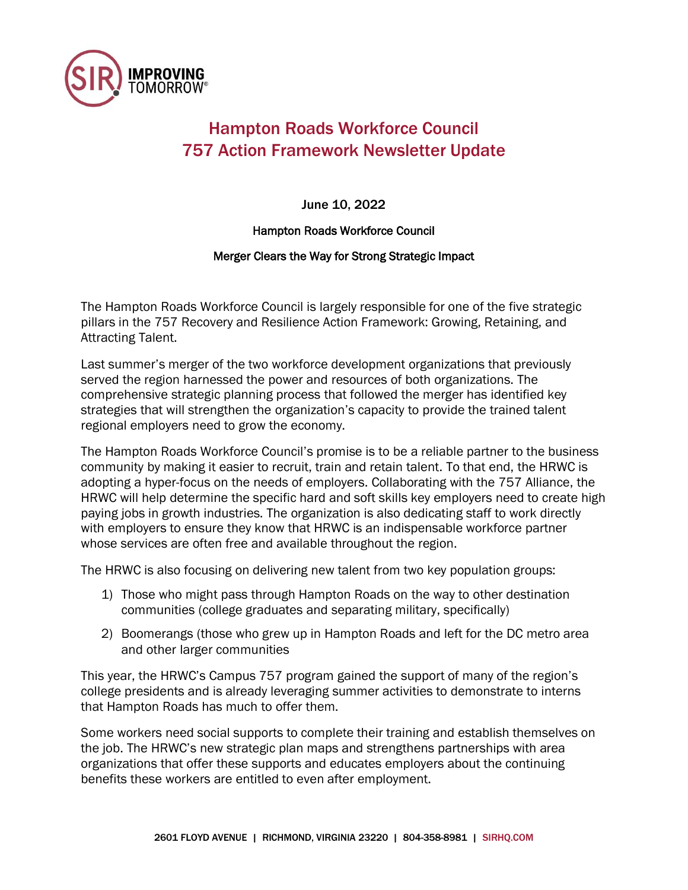

## Hampton Roads Workforce Council 757 Action Framework Newsletter Update

June 10, 2022

Hampton Roads Workforce Council

## Merger Clears the Way for Strong Strategic Impact

The Hampton Roads Workforce Council is largely responsible for one of the five strategic pillars in the 757 Recovery and Resilience Action Framework: Growing, Retaining, and Attracting Talent.

Last summer's merger of the two workforce development organizations that previously served the region harnessed the power and resources of both organizations. The comprehensive strategic planning process that followed the merger has identified key strategies that will strengthen the organization's capacity to provide the trained talent regional employers need to grow the economy.

The Hampton Roads Workforce Council's promise is to be a reliable partner to the business community by making it easier to recruit, train and retain talent. To that end, the HRWC is adopting a hyper-focus on the needs of employers. Collaborating with the 757 Alliance, the HRWC will help determine the specific hard and soft skills key employers need to create high paying jobs in growth industries. The organization is also dedicating staff to work directly with employers to ensure they know that HRWC is an indispensable workforce partner whose services are often free and available throughout the region.

The HRWC is also focusing on delivering new talent from two key population groups:

- 1) Those who might pass through Hampton Roads on the way to other destination communities (college graduates and separating military, specifically)
- 2) Boomerangs (those who grew up in Hampton Roads and left for the DC metro area and other larger communities

This year, the HRWC's Campus 757 program gained the support of many of the region's college presidents and is already leveraging summer activities to demonstrate to interns that Hampton Roads has much to offer them.

Some workers need social supports to complete their training and establish themselves on the job. The HRWC's new strategic plan maps and strengthens partnerships with area organizations that offer these supports and educates employers about the continuing benefits these workers are entitled to even after employment.